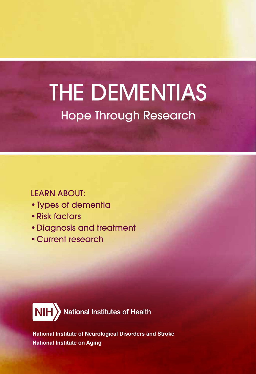# THE DEMENTIAS Hope Through Research

#### LEARN ABOUT:

- Types of dementia
- Risk factors
- Diagnosis and treatment
- Current research



**National Institute of Neurological Disorders and Stroke National Institute on Aging**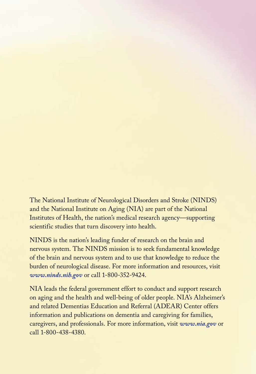The National Institute of Neurological Disorders and Stroke (NINDS) and the National Institute on Aging (NIA) are part of the National Institutes of Health, the nation's medical research agency—supporting scientific studies that turn discovery into health.

NINDS is the nation's leading funder of research on the brain and nervous system. The NINDS mission is to seek fundamental knowledge of the brain and nervous system and to use that knowledge to reduce the burden of neurological disease. For more information and resources, visit *www.ninds.nih.gov* or call 1-800-352-9424.

NIA leads the federal government effort to conduct and support research on aging and the health and well-being of older people. NIA's Alzheimer's and related Dementias Education and Referral (ADEAR) Center offers information and publications on dementia and caregiving for families, caregivers, and professionals. For more information, visit *www.nia.gov* or call 1-800-438-4380.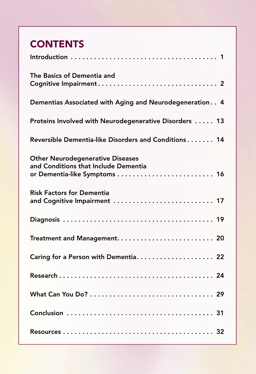# **CONTENTS**

| The Basics of Dementia and                                                      |
|---------------------------------------------------------------------------------|
| Dementias Associated with Aging and Neurodegeneration 4                         |
| Proteins Involved with Neurodegenerative Disorders  13                          |
| Reversible Dementia-like Disorders and Conditions 14                            |
| <b>Other Neurodegenerative Diseases</b><br>and Conditions that Include Dementia |
| <b>Risk Factors for Dementia</b><br>and Cognitive Impairment  17                |
|                                                                                 |
|                                                                                 |
| Caring for a Person with Dementia 22                                            |
|                                                                                 |
|                                                                                 |
|                                                                                 |
|                                                                                 |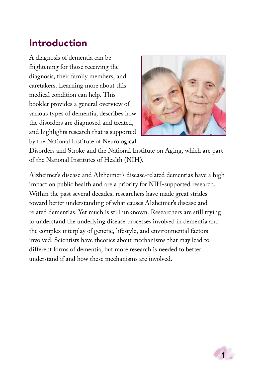### <span id="page-4-0"></span>Introduction

A diagnosis of dementia can be frightening for those receiving the diagnosis, their family members, and caretakers. Learning more about this medical condition can help. This booklet provides a general overview of various types of dementia, describes how the disorders are diagnosed and treated, and highlights research that is supported by the National Institute of Neurological



Disorders and Stroke and the National Institute on Aging, which are part of the National Institutes of Health (NIH).

Alzheimer's disease and Alzheimer's disease-related dementias have a high impact on public health and are a priority for NIH-supported research. Within the past several decades, researchers have made great strides toward better understanding of what causes Alzheimer's disease and related dementias. Yet much is still unknown. Researchers are still trying to understand the underlying disease processes involved in dementia and the complex interplay of genetic, lifestyle, and environmental factors involved. Scientists have theories about mechanisms that may lead to different forms of dementia, but more research is needed to better understand if and how these mechanisms are involved.

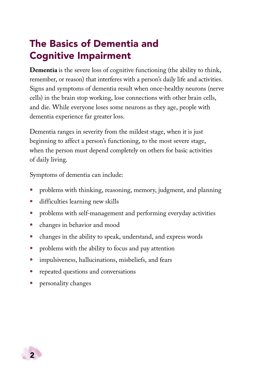# <span id="page-5-0"></span>The Basics of Dementia and Cognitive Impairment

**Dementia** is the severe loss of cognitive functioning (the ability to think, remember, or reason) that interferes with a person's daily life and activities. Signs and symptoms of dementia result when once-healthy neurons (nerve cells) in the brain stop working, lose connections with other brain cells, and die. While everyone loses some neurons as they age, people with dementia experience far greater loss.

Dementia ranges in severity from the mildest stage, when it is just beginning to affect a person's functioning, to the most severe stage, when the person must depend completely on others for basic activities of daily living.

Symptoms of dementia can include:

- problems with thinking, reasoning, memory, judgment, and planning
- difficulties learning new skills
- problems with self-management and performing everyday activities
- changes in behavior and mood
- changes in the ability to speak, understand, and express words
- problems with the ability to focus and pay attention
- impulsiveness, hallucinations, misbeliefs, and fears
- repeated questions and conversations
- personality changes

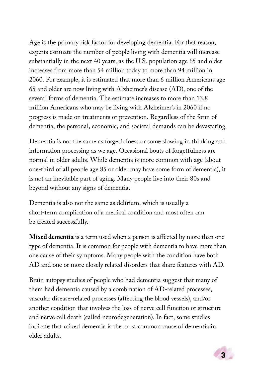Age is the primary risk factor for developing dementia. For that reason, experts estimate the number of people living with dementia will increase substantially in the next 40 years, as the U.S. population age 65 and older increases from more than 54 million today to more than 94 million in 2060. For example, it is estimated that more than 6 million Americans age 65 and older are now living with Alzheimer's disease (AD), one of the several forms of dementia. The estimate increases to more than 13.8 million Americans who may be living with Alzheimer's in 2060 if no progress is made on treatments or prevention. Regardless of the form of dementia, the personal, economic, and societal demands can be devastating.

Dementia is not the same as forgetfulness or some slowing in thinking and information processing as we age. Occasional bouts of forgetfulness are normal in older adults. While dementia is more common with age (about one-third of all people age 85 or older may have some form of dementia), it is not an inevitable part of aging. Many people live into their 80s and beyond without any signs of dementia.

Dementia is also not the same as delirium, which is usually a short-term complication of a medical condition and most often can be treated successfully.

**Mixed dementia** is a term used when a person is affected by more than one type of dementia. It is common for people with dementia to have more than one cause of their symptoms. Many people with the condition have both AD and one or more closely related disorders that share features with AD.

Brain autopsy studies of people who had dementia suggest that many of them had dementia caused by a combination of AD-related processes, vascular disease-related processes (affecting the blood vessels), and/or another condition that involves the loss of nerve cell function or structure and nerve cell death (called neurodegeneration). In fact, some studies indicate that mixed dementia is the most common cause of dementia in older adults.

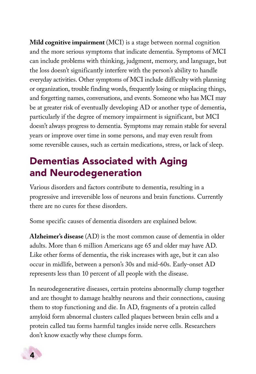<span id="page-7-0"></span>**Mild cognitive impairment** (MCI) is a stage between normal cognition and the more serious symptoms that indicate dementia. Symptoms of MCI can include problems with thinking, judgment, memory, and language, but the loss doesn't significantly interfere with the person's ability to handle everyday activities. Other symptoms of MCI include difficulty with planning or organization, trouble finding words, frequently losing or misplacing things, and forgetting names, conversations, and events. Someone who has MCI may be at greater risk of eventually developing AD or another type of dementia, particularly if the degree of memory impairment is significant, but MCI doesn't always progress to dementia. Symptoms may remain stable for several years or improve over time in some persons, and may even result from some reversible causes, such as certain medications, stress, or lack of sleep.

# Dementias Associated with Aging and Neurodegeneration

Various disorders and factors contribute to dementia, resulting in a progressive and irreversible loss of neurons and brain functions. Currently there are no cures for these disorders.

Some specific causes of dementia disorders are explained below.

**Alzheimer's disease** (AD) is the most common cause of dementia in older adults. More than 6 million Americans age 65 and older may have AD. Like other forms of dementia, the risk increases with age, but it can also occur in midlife, between a person's 30s and mid-60s. Early-onset AD represents less than 10 percent of all people with the disease.

In neurodegenerative diseases, certain proteins abnormally clump together and are thought to damage healthy neurons and their connections, causing them to stop functioning and die. In AD, fragments of a protein called amyloid form abnormal clusters called plaques between brain cells and a protein called tau forms harmful tangles inside nerve cells. Researchers don't know exactly why these clumps form.

4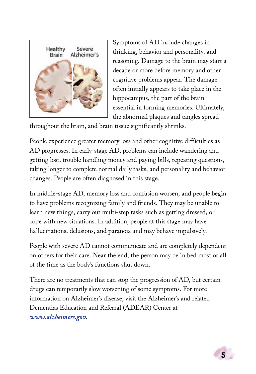

Symptoms of AD include changes in thinking, behavior and personality, and reasoning. Damage to the brain may start a decade or more before memory and other cognitive problems appear. The damage often initially appears to take place in the hippocampus, the part of the brain essential in forming memories. Ultimately, the abnormal plaques and tangles spread

throughout the brain, and brain tissue significantly shrinks.

People experience greater memory loss and other cognitive difficulties as AD progresses. In early-stage AD, problems can include wandering and getting lost, trouble handling money and paying bills**,** repeating questions, taking longer to complete normal daily tasks, and personality and behavior changes. People are often diagnosed in this stage.

In middle-stage AD, memory loss and confusion worsen, and people begin to have problems recognizing family and friends. They may be unable to learn new things, carry out multi-step tasks such as getting dressed, or cope with new situations. In addition, people at this stage may have hallucinations, delusions, and paranoia and may behave impulsively.

People with severe AD cannot communicate and are completely dependent on others for their care. Near the end, the person may be in bed most or all of the time as the body's functions shut down.

There are no treatments that can stop the progression of AD, but certain drugs can temporarily slow worsening of some symptoms. For more information on Alzheimer's disease, visit the Alzheimer's and related Dementias Education and Referral (ADEAR) Center at *[www.alzheimers.gov](http://www.alzheimers.gov)*.

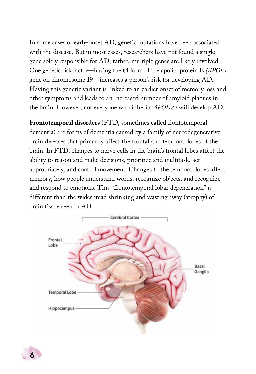In some cases of early-onset AD, genetic mutations have been associated with the disease. But in most cases, researchers have not found a single gene solely responsible for AD; rather, multiple genes are likely involved. One genetic risk factor—having the ε4 form of the apolipoprotein E *(APOE)*  gene on chromosome 19—increases a person's risk for developing AD. Having this genetic variant is linked to an earlier onset of memory loss and other symptoms and leads to an increased number of amyloid plaques in the brain. However, not everyone who inherits *APOE* ε*4* will develop AD.

**Frontotemporal disorders** (FTD, sometimes called frontotemporal dementia) are forms of dementia caused by a family of neurodegenerative brain diseases that primarily affect the frontal and temporal lobes of the brain. In FTD, changes to nerve cells in the brain's frontal lobes affect the ability to reason and make decisions, prioritize and multitask, act appropriately, and control movement. Changes to the temporal lobes affect memory, how people understand words, recognize objects, and recognize and respond to emotions. This "frontotemporal lobar degeneration" is different than the widespread shrinking and wasting away (atrophy) of brain tissue seen in AD.



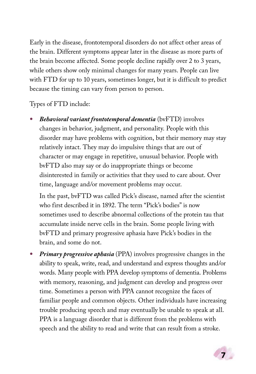Early in the disease, frontotemporal disorders do not affect other areas of the brain. Different symptoms appear later in the disease as more parts of the brain become affected. Some people decline rapidly over 2 to 3 years, while others show only minimal changes for many years. People can live with FTD for up to 10 years, sometimes longer, but it is difficult to predict because the timing can vary from person to person.

Types of FTD include:

• *Behavioral variant frontotemporal dementia* (bvFTD) involves changes in behavior, judgment, and personality. People with this disorder may have problems with cognition, but their memory may stay relatively intact. They may do impulsive things that are out of character or may engage in repetitive, unusual behavior. People with bvFTD also may say or do inappropriate things or become disinterested in family or activities that they used to care about. Over time, language and/or movement problems may occur.

In the past, bvFTD was called Pick's disease, named after the scientist who first described it in 1892. The term "Pick's bodies" is now sometimes used to describe abnormal collections of the protein tau that accumulate inside nerve cells in the brain. Some people living with bvFTD and primary progressive aphasia have Pick's bodies in the brain, and some do not.

• *Primary progressive aphasia* (PPA) involves progressive changes in the ability to speak, write, read, and understand and express thoughts and/or words. Many people with PPA develop symptoms of dementia. Problems with memory, reasoning, and judgment can develop and progress over time. Sometimes a person with PPA cannot recognize the faces of familiar people and common objects. Other individuals have increasing trouble producing speech and may eventually be unable to speak at all. PPA is a language disorder that is different from the problems with speech and the ability to read and write that can result from a stroke.

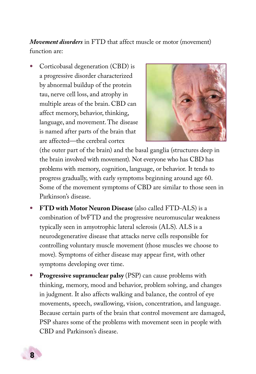*Movement disorders* in FTD that affect muscle or motor (movement) function are:

• Corticobasal degeneration (CBD) is a progressive disorder characterized by abnormal buildup of the protein tau, nerve cell loss, and atrophy in multiple areas of the brain. CBD can affect memory, behavior, thinking, language, and movement. The disease is named after parts of the brain that are affected—the cerebral cortex



(the outer part of the brain) and the basal ganglia (structures deep in the brain involved with movement). Not everyone who has CBD has problems with memory, cognition, language, or behavior. It tends to progress gradually, with early symptoms beginning around age 60. Some of the movement symptoms of CBD are similar to those seen in Parkinson's disease.

- **FTD with Motor Neuron Disease** (also called FTD-ALS) is a combination of bvFTD and the progressive neuromuscular weakness typically seen in amyotrophic lateral sclerosis (ALS). ALS is a neurodegenerative disease that attacks nerve cells responsible for controlling voluntary muscle movement (those muscles we choose to move). Symptoms of either disease may appear first, with other symptoms developing over time.
- **Progressive supranuclear palsy** (PSP) can cause problems with thinking, memory, mood and behavior, problem solving, and changes in judgment. It also affects walking and balance, the control of eye movements, speech, swallowing, vision, concentration, and language. Because certain parts of the brain that control movement are damaged, PSP shares some of the problems with movement seen in people with CBD and Parkinson's disease.

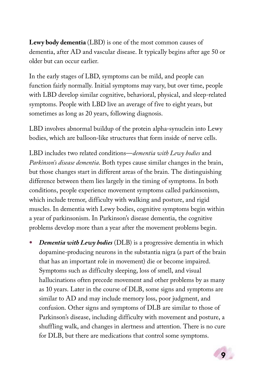**Lewy body dementia** (LBD) is one of the most common causes of dementia, after AD and vascular disease. It typically begins after age 50 or older but can occur earlier.

In the early stages of LBD, symptoms can be mild, and people can function fairly normally. Initial symptoms may vary, but over time, people with LBD develop similar cognitive, behavioral, physical, and sleep-related symptoms. People with LBD live an average of five to eight years, but sometimes as long as 20 years, following diagnosis.

LBD involves abnormal buildup of the protein alpha-synuclein into Lewy bodies, which are balloon-like structures that form inside of nerve cells.

LBD includes two related conditions—*dementia with Lewy bodies* and *Parkinson's disease dementia*. Both types cause similar changes in the brain, but those changes start in different areas of the brain. The distinguishing difference between them lies largely in the timing of symptoms. In both conditions, people experience movement symptoms called parkinsonism, which include tremor, difficulty with walking and posture, and rigid muscles. In dementia with Lewy bodies, cognitive symptoms begin within a year of parkinsonism. In Parkinson's disease dementia, the cognitive problems develop more than a year after the movement problems begin.

• *Dementia with Lewy bodies* (DLB) is a progressive dementia in which dopamine-producing neurons in the substantia nigra (a part of the brain that has an important role in movement) die or become impaired. Symptoms such as difficulty sleeping, loss of smell, and visual hallucinations often precede movement and other problems by as many as 10 years. Later in the course of DLB, some signs and symptoms are similar to AD and may include memory loss, poor judgment, and confusion. Other signs and symptoms of DLB are similar to those of Parkinson's disease, including difficulty with movement and posture, a shuffling walk, and changes in alertness and attention. There is no cure for DLB, but there are medications that control some symptoms.

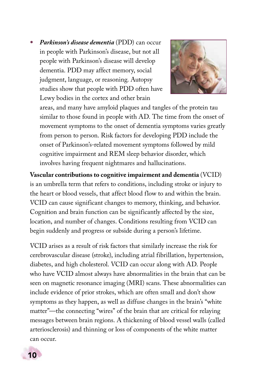• *Parkinson's disease dementia* (PDD) can occur in people with Parkinson's disease, but not all people with Parkinson's disease will develop dementia. PDD may affect memory, social judgment, language, or reasoning. Autopsy studies show that people with PDD often have Lewy bodies in the cortex and other brain



areas, and many have amyloid plaques and tangles of the protein tau similar to those found in people with AD. The time from the onset of movement symptoms to the onset of dementia symptoms varies greatly from person to person. Risk factors for developing PDD include the onset of Parkinson's-related movement symptoms followed by mild cognitive impairment and REM sleep behavior disorder, which involves having frequent nightmares and hallucinations.

**Vascular contributions to cognitive impairment and dementia** (VCID) is an umbrella term that refers to conditions, including stroke or injury to the heart or blood vessels, that affect blood flow to and within the brain. VCID can cause significant changes to memory, thinking, and behavior. Cognition and brain function can be significantly affected by the size, location, and number of changes. Conditions resulting from VCID can begin suddenly and progress or subside during a person's lifetime.

VCID arises as a result of risk factors that similarly increase the risk for cerebrovascular disease (stroke), including atrial fibrillation, hypertension, diabetes, and high cholesterol. VCID can occur along with AD. People who have VCID almost always have abnormalities in the brain that can be seen on magnetic resonance imaging (MRI) scans. These abnormalities can include evidence of prior strokes, which are often small and don't show symptoms as they happen, as well as diffuse changes in the brain's "white matter"—the connecting "wires" of the brain that are critical for relaying messages between brain regions. A thickening of blood vessel walls (called arteriosclerosis) and thinning or loss of components of the white matter can occur.

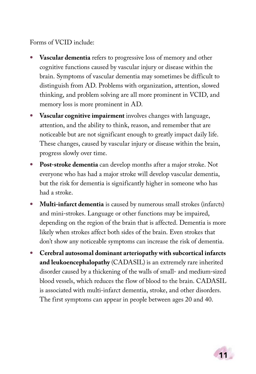#### Forms of VCID include:

- **Vascular dementia** refers to progressive loss of memory and other cognitive functions caused by vascular injury or disease within the brain. Symptoms of vascular dementia may sometimes be difficult to distinguish from AD. Problems with organization, attention, slowed thinking, and problem solving are all more prominent in VCID, and memory loss is more prominent in AD.
- **Vascular cognitive impairment** involves changes with language, attention, and the ability to think, reason, and remember that are noticeable but are not significant enough to greatly impact daily life. These changes, caused by vascular injury or disease within the brain, progress slowly over time.
- **Post-stroke dementia** can develop months after a major stroke. Not everyone who has had a major stroke will develop vascular dementia, but the risk for dementia is significantly higher in someone who has had a stroke.
- **Multi-infarct dementia** is caused by numerous small strokes (infarcts) and mini-strokes. Language or other functions may be impaired, depending on the region of the brain that is affected. Dementia is more likely when strokes affect both sides of the brain. Even strokes that don't show any noticeable symptoms can increase the risk of dementia.
- **Cerebral autosomal dominant arteriopathy with subcortical infarcts and leukoencephalopathy** (CADASIL) is an extremely rare inherited disorder caused by a thickening of the walls of small- and medium-sized blood vessels, which reduces the flow of blood to the brain. CADASIL is associated with multi-infarct dementia, stroke, and other disorders. The first symptoms can appear in people between ages 20 and 40.

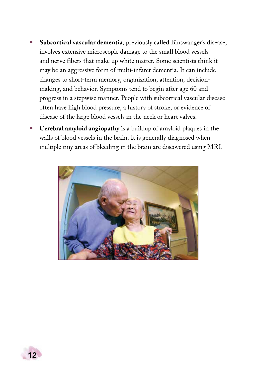- **Subcortical vascular dementia**, previously called Binswanger's disease, involves extensive microscopic damage to the small blood vessels and nerve fibers that make up white matter. Some scientists think it may be an aggressive form of multi-infarct dementia. It can include changes to short-term memory, organization, attention, decisionmaking, and behavior. Symptoms tend to begin after age 60 and progress in a stepwise manner. People with subcortical vascular disease often have high blood pressure, a history of stroke, or evidence of disease of the large blood vessels in the neck or heart valves.
- **Cerebral amyloid angiopathy** is a buildup of amyloid plaques in the walls of blood vessels in the brain. It is generally diagnosed when multiple tiny areas of bleeding in the brain are discovered using MRI.



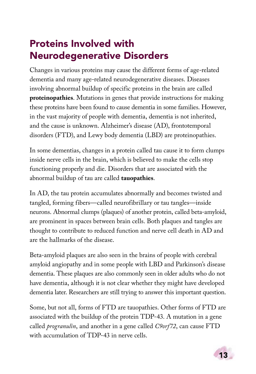# <span id="page-16-0"></span>Proteins Involved with Neurodegenerative Disorders

Changes in various proteins may cause the different forms of age-related dementia and many age-related neurodegenerative diseases. Diseases involving abnormal buildup of specific proteins in the brain are called **proteinopathies**. Mutations in genes that provide instructions for making these proteins have been found to cause dementia in some families. However, in the vast majority of people with dementia, dementia is not inherited, and the cause is unknown. Alzheimer's disease (AD), frontotemporal disorders (FTD), and Lewy body dementia (LBD) are proteinopathies.

In some dementias, changes in a protein called tau cause it to form clumps inside nerve cells in the brain, which is believed to make the cells stop functioning properly and die. Disorders that are associated with the abnormal buildup of tau are called **tauopathies**.

In AD, the tau protein accumulates abnormally and becomes twisted and tangled, forming fibers—called neurofibrillary or tau tangles—inside neurons. Abnormal clumps (plaques) of another protein, called beta-amyloid, are prominent in spaces between brain cells. Both plaques and tangles are thought to contribute to reduced function and nerve cell death in AD and are the hallmarks of the disease.

Beta-amyloid plaques are also seen in the brains of people with cerebral amyloid angiopathy and in some people with LBD and Parkinson's disease dementia. These plaques are also commonly seen in older adults who do not have dementia, although it is not clear whether they might have developed dementia later. Researchers are still trying to answer this important question.

Some, but not all, forms of FTD are tauopathies. Other forms of FTD are associated with the buildup of the protein TDP-43. A mutation in a gene called *progranulin*, and another in a gene called *C9orf72*, can cause FTD with accumulation of TDP-43 in nerve cells.

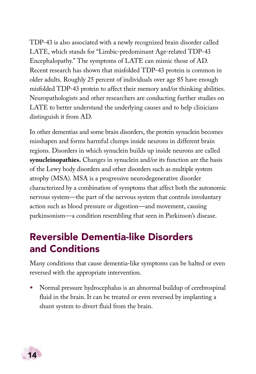<span id="page-17-0"></span>TDP-43 is also associated with a newly recognized brain disorder called LATE, which stands for "Limbic-predominant Age-related TDP-43 Encephalopathy." The symptoms of LATE can mimic those of AD. Recent research has shown that misfolded TDP-43 protein is common in older adults. Roughly 25 percent of individuals over age 85 have enough misfolded TDP-43 protein to affect their memory and/or thinking abilities. Neuropathologists and other researchers are conducting further studies on LATE to better understand the underlying causes and to help clinicians distinguish it from AD.

In other dementias and some brain disorders, the protein synuclein becomes misshapen and forms harmful clumps inside neurons in different brain regions. Disorders in which synuclein builds up inside neurons are called **synucleinopathies.** Changes in synuclein and/or its function are the basis of the Lewy body disorders and other disorders such as multiple system atrophy (MSA). MSA is a progressive neurodegenerative disorder characterized by a combination of symptoms that affect both the autonomic nervous system—the part of the nervous system that controls involuntary action such as blood pressure or digestion—and movement, causing parkinsonism—a condition resembling that seen in Parkinson's disease.

# Reversible Dementia-like Disorders and Conditions

Many conditions that cause dementia-like symptoms can be halted or even reversed with the appropriate intervention.

• Normal pressure hydrocephalus is an abnormal buildup of cerebrospinal fluid in the brain. It can be treated or even reversed by implanting a shunt system to divert fluid from the brain.

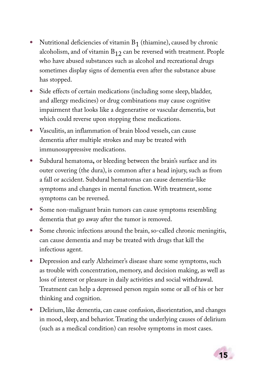- Nutritional deficiencies of vitamin  $B_1$  (thiamine), caused by chronic alcoholism, and of vitamin  $B_{12}$  can be reversed with treatment. People who have abused substances such as alcohol and recreational drugs sometimes display signs of dementia even after the substance abuse has stopped.
- Side effects of certain medications (including some sleep, bladder, and allergy medicines) or drug combinations may cause cognitive impairment that looks like a degenerative or vascular dementia, but which could reverse upon stopping these medications.
- Vasculitis, an inflammation of brain blood vessels, can cause dementia after multiple strokes and may be treated with immunosuppressive medications.
- Subdural hematoma**,** or bleeding between the brain's surface and its outer covering (the dura), is common after a head injury, such as from a fall or accident. Subdural hematomas can cause dementia-like symptoms and changes in mental function. With treatment, some symptoms can be reversed.
- Some non-malignant brain tumors can cause symptoms resembling dementia that go away after the tumor is removed.
- Some chronic infections around the brain, so-called chronic meningitis, can cause dementia and may be treated with drugs that kill the infectious agent.
- Depression and early Alzheimer's disease share some symptoms, such as trouble with concentration, memory, and decision making, as well as loss of interest or pleasure in daily activities and social withdrawal. Treatment can help a depressed person regain some or all of his or her thinking and cognition.
- Delirium, like dementia, can cause confusion, disorientation, and changes in mood, sleep, and behavior. Treating the underlying causes of delirium (such as a medical condition) can resolve symptoms in most cases.

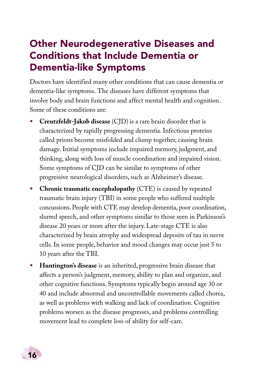# <span id="page-19-0"></span>Other Neurodegenerative Diseases and Conditions that Include Dementia or Dementia-like Symptoms

Doctors have identified many other conditions that can cause dementia or dementia-like symptoms. The diseases have different symptoms that involve body and brain functions and affect mental health and cognition. Some of these conditions are:

- **Creutzfeldt-Jakob disease** (CJD) is a rare brain disorder that is characterized by rapidly progressing dementia. Infectious proteins called prions become misfolded and clump together, causing brain damage. Initial symptoms include impaired memory, judgment, and thinking, along with loss of muscle coordination and impaired vision. Some symptoms of CJD can be similar to symptoms of other progressive neurological disorders, such as Alzheimer's disease.
- **Chronic traumatic encephalopathy** (CTE) is caused by repeated traumatic brain injury (TBI) in some people who suffered multiple concussions. People with CTE may develop dementia, poor coordination, slurred speech, and other symptoms similar to those seen in Parkinson's disease 20 years or more after the injury. Late-stage CTE is also characterized by brain atrophy and widespread deposits of tau in nerve cells. In some people, behavior and mood changes may occur just 5 to 10 years after the TBI.
- **Huntington's disease** is an inherited, progressive brain disease that affects a person's judgment, memory, ability to plan and organize, and other cognitive functions. Symptoms typically begin around age 30 or 40 and include abnormal and uncontrollable movements called chorea, as well as problems with walking and lack of coordination. Cognitive problems worsen as the disease progresses, and problems controlling movement lead to complete loss of ability for self-care.

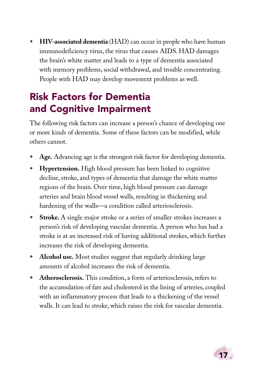<span id="page-20-0"></span>• **HIV-associated dementia** (HAD) can occur in people who have human immunodeficiency virus, the virus that causes AIDS. HAD damages the brain's white matter and leads to a type of dementia associated with memory problems, social withdrawal, and trouble concentrating. People with HAD may develop movement problems as well.

# Risk Factors for Dementia and Cognitive Impairment

The following risk factors can increase a person's chance of developing one or more kinds of dementia. Some of these factors can be modified, while others cannot.

- **Age.** Advancing age is the strongest risk factor for developing dementia.
- **Hypertension.** High blood pressure has been linked to cognitive decline, stroke, and types of dementia that damage the white matter regions of the brain. Over time, high blood pressure can damage arteries and brain blood vessel walls, resulting in thickening and hardening of the walls—a condition called arteriosclerosis.
- **Stroke.** A single major stroke or a series of smaller strokes increases a person's risk of developing vascular dementia. A person who has had a stroke is at an increased risk of having additional strokes, which further increases the risk of developing dementia.
- **Alcohol use.** Most studies suggest that regularly drinking large amounts of alcohol increases the risk of dementia.
- **Atherosclerosis.** This condition, a form of arteriosclerosis, refers to the accumulation of fats and cholesterol in the lining of arteries, coupled with an inflammatory process that leads to a thickening of the vessel walls. It can lead to stroke, which raises the risk for vascular dementia.

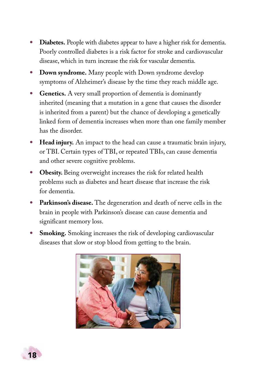- **Diabetes.** People with diabetes appear to have a higher risk for dementia. Poorly controlled diabetes is a risk factor for stroke and cardiovascular disease, which in turn increase the risk for vascular dementia.
- **Down syndrome.** Many people with Down syndrome develop symptoms of Alzheimer's disease by the time they reach middle age.
- **Genetics.** A very small proportion of dementia is dominantly inherited (meaning that a mutation in a gene that causes the disorder is inherited from a parent) but the chance of developing a genetically linked form of dementia increases when more than one family member has the disorder.
- **Head injury.** An impact to the head can cause a traumatic brain injury, or TBI. Certain types of TBI, or repeated TBIs, can cause dementia and other severe cognitive problems.
- **Obesity.** Being overweight increases the risk for related health problems such as diabetes and heart disease that increase the risk for dementia.
- **Parkinson's disease.** The degeneration and death of nerve cells in the brain in people with Parkinson's disease can cause dementia and significant memory loss.
- **Smoking.** Smoking increases the risk of developing cardiovascular diseases that slow or stop blood from getting to the brain.



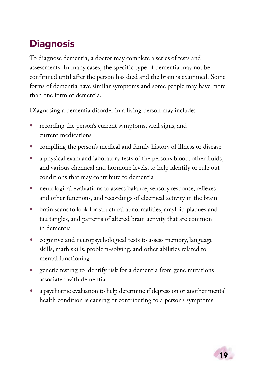# <span id="page-22-0"></span>**Diagnosis**

To diagnose dementia, a doctor may complete a series of tests and assessments. In many cases, the specific type of dementia may not be confirmed until after the person has died and the brain is examined. Some forms of dementia have similar symptoms and some people may have more than one form of dementia.

Diagnosing a dementia disorder in a living person may include:

- recording the person's current symptoms, vital signs, and current medications
- compiling the person's medical and family history of illness or disease
- a physical exam and laboratory tests of the person's blood, other fluids, and various chemical and hormone levels, to help identify or rule out conditions that may contribute to dementia
- neurological evaluations to assess balance, sensory response, reflexes and other functions, and recordings of electrical activity in the brain
- brain scans to look for structural abnormalities, amyloid plaques and tau tangles, and patterns of altered brain activity that are common in dementia
- cognitive and neuropsychological tests to assess memory, language skills, math skills, problem-solving, and other abilities related to mental functioning
- genetic testing to identify risk for a dementia from gene mutations associated with dementia
- a psychiatric evaluation to help determine if depression or another mental health condition is causing or contributing to a person's symptoms

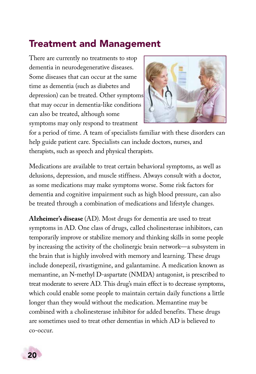### <span id="page-23-0"></span>Treatment and Management

There are currently no treatments to stop dementia in neurodegenerative diseases. Some diseases that can occur at the same time as dementia (such as diabetes and depression) can be treated. Other symptoms that may occur in dementia-like conditions can also be treated, although some symptoms may only respond to treatment



for a period of time. A team of specialists familiar with these disorders can help guide patient care. Specialists can include doctors, nurses, and therapists, such as speech and physical therapists.

Medications are available to treat certain behavioral symptoms, as well as delusions, depression, and muscle stiffness. Always consult with a doctor, as some medications may make symptoms worse. Some risk factors for dementia and cognitive impairment such as high blood pressure, can also be treated through a combination of medications and lifestyle changes.

**Alzheimer's disease** (AD). Most drugs for dementia are used to treat symptoms in AD. One class of drugs, called cholinesterase inhibitors, can temporarily improve or stabilize memory and thinking skills in some people by increasing the activity of the cholinergic brain network—a subsystem in the brain that is highly involved with memory and learning. These drugs include donepezil, rivastigmine, and galantamine. A medication known as memantine, an N-methyl D-aspartate (NMDA) antagonist, is prescribed to treat moderate to severe AD. This drug's main effect is to decrease symptoms, which could enable some people to maintain certain daily functions a little longer than they would without the medication. Memantine may be combined with a cholinesterase inhibitor for added benefits. These drugs are sometimes used to treat other dementias in which AD is believed to co-occur.

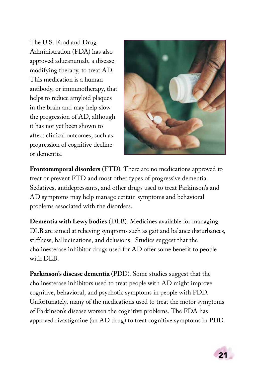The U.S. Food and Drug Administration (FDA) has also approved aducanumab, a diseasemodifying therapy, to treat AD. This medication is a human antibody, or immunotherapy, that helps to reduce amyloid plaques in the brain and may help slow the progression of AD, although it has not yet been shown to affect clinical outcomes, such as progression of cognitive decline or dementia.



**Frontotemporal disorders** (FTD). There are no medications approved to treat or prevent FTD and most other types of progressive dementia. Sedatives, antidepressants, and other drugs used to treat Parkinson's and AD symptoms may help manage certain symptoms and behavioral problems associated with the disorders.

**Dementia with Lewy bodies** (DLB). Medicines available for managing DLB are aimed at relieving symptoms such as gait and balance disturbances, stiffness, hallucinations, and delusions. Studies suggest that the cholinesterase inhibitor drugs used for AD offer some benefit to people with DLB.

**Parkinson's disease dementia** (PDD). Some studies suggest that the cholinesterase inhibitors used to treat people with AD might improve cognitive, behavioral, and psychotic symptoms in people with PDD. Unfortunately, many of the medications used to treat the motor symptoms of Parkinson's disease worsen the cognitive problems. The FDA has approved rivastigmine (an AD drug) to treat cognitive symptoms in PDD.

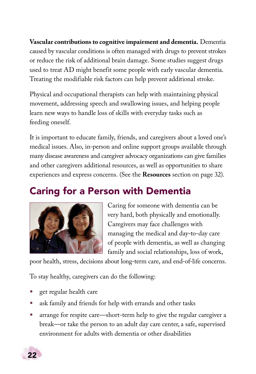<span id="page-25-0"></span>**Vascular contributions to cognitive impairment and dementia.** Dementia caused by vascular conditions is often managed with drugs to prevent strokes or reduce the risk of additional brain damage. Some studies suggest drugs used to treat AD might benefit some people with early vascular dementia. Treating the modifiable risk factors can help prevent additional stroke.

Physical and occupational therapists can help with maintaining physical movement, addressing speech and swallowing issues, and helping people learn new ways to handle loss of skills with everyday tasks such as feeding oneself.

It is important to educate family, friends, and caregivers about a loved one's medical issues. Also, in-person and online support groups available through many disease awareness and caregiver advocacy organizations can give families and other caregivers additional resources, as well as opportunities to share experiences and express concerns. (See the **Resources** section on page 32).

# Caring for a Person with Dementia



Caring for someone with dementia can be very hard, both physically and emotionally. Caregivers may face challenges with managing the medical and day-to-day care of people with dementia, as well as changing family and social relationships, loss of work,

poor health, stress, decisions about long-term care, and end-of-life concerns.

To stay healthy, caregivers can do the following:

- get regular health care
- ask family and friends for help with errands and other tasks
- arrange for respite care—short-term help to give the regular caregiver a break—or take the person to an adult day care center, a safe, supervised environment for adults with dementia or other disabilities

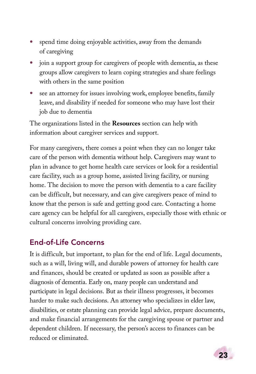- spend time doing enjoyable activities, away from the demands of caregiving
- join a support group for caregivers of people with dementia, as these groups allow caregivers to learn coping strategies and share feelings with others in the same position
- see an attorney for issues involving work, employee benefits, family leave, and disability if needed for someone who may have lost their job due to dementia

The organizations listed in the **Resources** section can help with information about caregiver services and support.

For many caregivers, there comes a point when they can no longer take care of the person with dementia without help. Caregivers may want to plan in advance to get home health care services or look for a residential care facility, such as a group home, assisted living facility, or nursing home. The decision to move the person with dementia to a care facility can be difficult, but necessary, and can give caregivers peace of mind to know that the person is safe and getting good care. Contacting a home care agency can be helpful for all caregivers, especially those with ethnic or cultural concerns involving providing care.

### End-of-Life Concerns

It is difficult, but important, to plan for the end of life. Legal documents, such as a will, living will, and durable powers of attorney for health care and finances, should be created or updated as soon as possible after a diagnosis of dementia. Early on, many people can understand and participate in legal decisions. But as their illness progresses, it becomes harder to make such decisions. An attorney who specializes in elder law, disabilities, or estate planning can provide legal advice, prepare documents, and make financial arrangements for the caregiving spouse or partner and dependent children. If necessary, the person's access to finances can be reduced or eliminated.

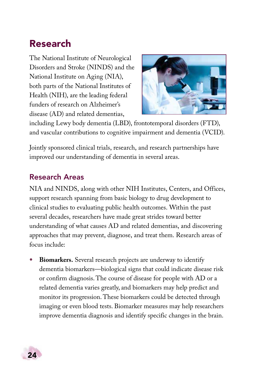### <span id="page-27-0"></span>Research

The National Institute of Neurological Disorders and Stroke (NINDS) and the National Institute on Aging (NIA), both parts of the National Institutes of Health (NIH), are the leading federal funders of research on Alzheimer's disease (AD) and related dementias,



including Lewy body dementia (LBD), frontotemporal disorders (FTD), and vascular contributions to cognitive impairment and dementia (VCID).

Jointly sponsored clinical trials, research, and research partnerships have improved our understanding of dementia in several areas.

### Research Areas

NIA and NINDS, along with other NIH Institutes, Centers, and Offices, support research spanning from basic biology to drug development to clinical studies to evaluating public health outcomes. Within the past several decades, researchers have made great strides toward better understanding of what causes AD and related dementias, and discovering approaches that may prevent, diagnose, and treat them. Research areas of focus include:

• **Biomarkers.** Several research projects are underway to identify dementia biomarkers—biological signs that could indicate disease risk or confirm diagnosis. The course of disease for people with AD or a related dementia varies greatly, and biomarkers may help predict and monitor its progression. These biomarkers could be detected through imaging or even blood tests. Biomarker measures may help researchers improve dementia diagnosis and identify specific changes in the brain.

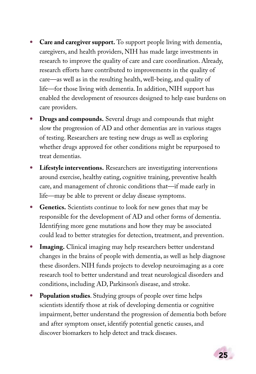- **Care and caregiver support.** To support people living with dementia, caregivers, and health providers, NIH has made large investments in research to improve the quality of care and care coordination. Already, research efforts have contributed to improvements in the quality of care—as well as in the resulting health, well-being, and quality of life—for those living with dementia. In addition, NIH support has enabled the development of resources designed to help ease burdens on care providers.
- **Drugs and compounds.** Several drugs and compounds that might slow the progression of AD and other dementias are in various stages of testing. Researchers are testing new drugs as well as exploring whether drugs approved for other conditions might be repurposed to treat dementias.
- **Lifestyle interventions.** Researchers are investigating interventions around exercise, healthy eating, cognitive training, preventive health care, and management of chronic conditions that—if made early in life—may be able to prevent or delay disease symptoms.
- **Genetics.** Scientists continue to look for new genes that may be responsible for the development of AD and other forms of dementia. Identifying more gene mutations and how they may be associated could lead to better strategies for detection, treatment, and prevention.
- **Imaging.** Clinical imaging may help researchers better understand changes in the brains of people with dementia, as well as help diagnose these disorders. NIH funds projects to develop neuroimaging as a core research tool to better understand and treat neurological disorders and conditions, including AD, Parkinson's disease, and stroke.
- **Population studies**. Studying groups of people over time helps scientists identify those at risk of developing dementia or cognitive impairment, better understand the progression of dementia both before and after symptom onset, identify potential genetic causes, and discover biomarkers to help detect and track diseases.

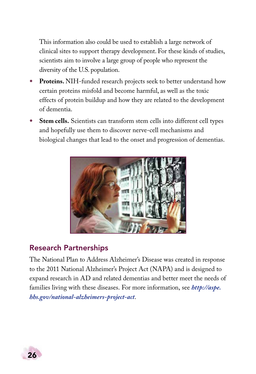This information also could be used to establish a large network of clinical sites to support therapy development. For these kinds of studies, scientists aim to involve a large group of people who represent the diversity of the U.S. population.

- **Proteins.** NIH-funded research projects seek to better understand how certain proteins misfold and become harmful, as well as the toxic effects of protein buildup and how they are related to the development of dementia.
- **Stem cells.** Scientists can transform stem cells into different cell types and hopefully use them to discover nerve-cell mechanisms and biological changes that lead to the onset and progression of dementias.



### Research Partnerships

The National Plan to Address Alzheimer's Disease was created in response to the 2011 National Alzheimer's Project Act (NAPA) and is designed to expand research in AD and related dementias and better meet the needs of families living with these diseases. For more information, see *[http://aspe.](http://aspe.hhs.gov/national-alzheimers-project-act) [hhs.gov/national-alzheimers-project-act](http://aspe.hhs.gov/national-alzheimers-project-act)*.

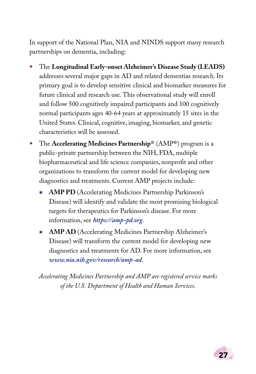In support of the National Plan, NIA and NINDS support many research partnerships on dementia, including:

- The **Longitudinal Early-onset Alzheimer's Disease Study (LEADS)**  addresses several major gaps in AD and related dementias research. Its primary goal is to develop sensitive clinical and biomarker measures for future clinical and research use. This observational study will enroll and follow 500 cognitively impaired participants and 100 cognitively normal participants ages 40-64 years at approximately 15 sites in the United States. Clinical, cognitive, imaging, biomarker, and genetic characteristics will be assessed.
- The **Accelerating Medicines Partnership**® (AMP®) program is a public-private partnership between the NIH, FDA, multiple biopharmaceutical and life science companies, nonprofit and other organizations to transform the current model for developing new diagnostics and treatments. Current AMP projects include:
	- **AMP PD** (Accelerating Medicines Partnership Parkinson's Disease) will identify and validate the most promising biological targets for therapeutics for Parkinson's disease. For more information, see *<https://amp-pd.org>*.
	- **AMP AD** (Accelerating Medicines Partnership Alzheimer's Disease) will transform the current model for developing new diagnostics and treatments for AD. For more information, see *[www.nia.nih.gov/research/amp-ad](http://www.nia.nih.gov/research/amp-ad)*.

*Accelerating Medicines Partnership and AMP are registered service marks of the U.S. Department of Health and Human Services.*

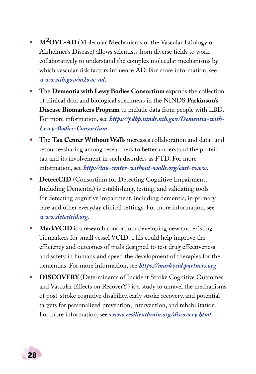- **M2OVE-AD** (Molecular Mechanisms of the Vascular Etiology of Alzheimer's Disease) allows scientists from diverse fields to work collaboratively to understand the complex molecular mechanisms by which vascular risk factors influence AD. For more information, see *[www.nih.gov/m2ove-ad](https://www.nih.gov/m2ove-ad)*.
- The **Dementia with Lewy Bodies Consortium** expands the collection of clinical data and biological specimens in the NINDS **Parkinson's Disease Biomarkers Program** to include data from people with LBD. For more information, see *[https://pdbp.ninds.nih.gov/Dementia-with-](https://pdbp.ninds.nih.gov/Dementia-with-Lewy-Bodies-Consortium)[Lewy-Bodies-Consortium](https://pdbp.ninds.nih.gov/Dementia-with-Lewy-Bodies-Consortium)*.
- The **Tau Center Without Walls** increases collaboration and data- and resource-sharing among researchers to better understand the protein tau and its involvement in such disorders as FTD. For more information, see *<http://tau-center-without-walls.org/east-cwow>*.
- **DetectCID** (Consortium for Detecting Cognitive Impairment, Including Dementia) is establishing, testing, and validating tools for detecting cognitive impairment, including dementia, in primary care and other everyday clinical settings. For more information, see *[www.detectcid.org](http://www.detectcid.org/)*.
- **MarkVCID** is a research consortium developing new and existing biomarkers for small vessel VCID. This could help improve the efficiency and outcomes of trials designed to test drug effectiveness and safety in humans and speed the development of therapies for the dementias. For more information, see *[https://markvcid.partners.org](https://markvcid.partners.org/)*.
- **DISCOVERY** (Determinants of Incident Stroke Cognitive Outcomes and Vascular Effects on RecoverY) is a study to unravel the mechanisms of post-stroke cognitive disability, early stroke recovery, and potential targets for personalized prevention, intervention, and rehabilitation. For more information, see *[www.resilientbrain.org/discovery.html](http://www.resilientbrain.org/discovery.html)*.

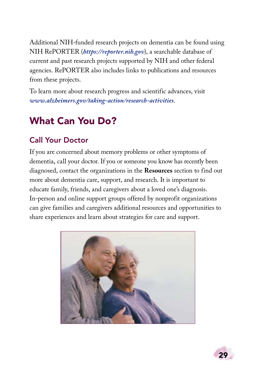<span id="page-32-0"></span>Additional NIH-funded research projects on dementia can be found using NIH RePORTER (*<https://reporter.nih.gov>*), a searchable database of current and past research projects supported by NIH and other federal agencies. RePORTER also includes links to publications and resources from these projects.

To learn more about research progress and scientific advances, visit *[www.alzheimers.gov/taking-action/research-activities](http://www.alzheimers.gov/taking-action/research-activities)*.

# What Can You Do?

### Call Your Doctor

If you are concerned about memory problems or other symptoms of dementia, call your doctor. If you or someone you know has recently been diagnosed, contact the organizations in the **Resources** section to find out more about dementia care, support, and research. It is important to educate family, friends, and caregivers about a loved one's diagnosis. In-person and online support groups offered by nonprofit organizations can give families and caregivers additional resources and opportunities to share experiences and learn about strategies for care and support.



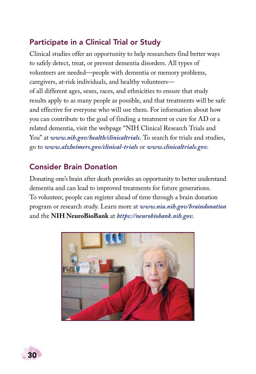### Participate in a Clinical Trial or Study

Clinical studies offer an opportunity to help researchers find better ways to safely detect, treat, or prevent dementia disorders. All types of volunteers are needed—people with dementia or memory problems, caregivers, at-risk individuals, and healthy volunteers of all different ages, sexes, races, and ethnicities to ensure that study results apply to as many people as possible, and that treatments will be safe and effective for everyone who will use them. For information about how you can contribute to the goal of finding a treatment or cure for AD or a related dementia, visit the webpage "NIH Clinical Research Trials and You" at [www.nih.gov/health/clinicaltrials](http://www.nih.gov/health/clinicaltrials). To search for trials and studies, go to *[www.alzheimers.gov/clinical-trials](http://www.alzheimers.gov/clinical-trials)* or *[www.clinicaltrials.gov](http://www.clinicaltrials.gov)*.

### Consider Brain Donation

Donating one's brain after death provides an opportunity to better understand dementia and can lead to improved treatments for future generations. To volunteer, people can register ahead of time through a brain donation program or research study. Learn more at *[www.nia.nih.gov/braindonation](http://www.nia.nih.gov/braindonation)* and the **NIH NeuroBioBank** at *[https://neurobiobank.nih.gov](https://neurobiobank.nih.gov/)*.



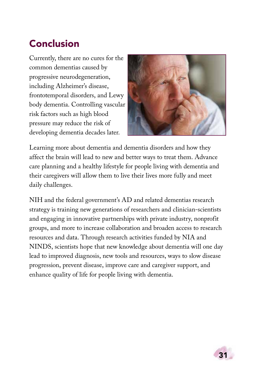# <span id="page-34-0"></span>Conclusion

Currently, there are no cures for the common dementias caused by progressive neurodegeneration, including Alzheimer's disease, frontotemporal disorders, and Lewy body dementia. Controlling vascular risk factors such as high blood pressure may reduce the risk of developing dementia decades later.



Learning more about dementia and dementia disorders and how they affect the brain will lead to new and better ways to treat them. Advance care planning and a healthy lifestyle for people living with dementia and their caregivers will allow them to live their lives more fully and meet daily challenges.

NIH and the federal government's AD and related dementias research strategy is training new generations of researchers and clinician-scientists and engaging in innovative partnerships with private industry, nonprofit groups, and more to increase collaboration and broaden access to research resources and data. Through research activities funded by NIA and NINDS, scientists hope that new knowledge about dementia will one day lead to improved diagnosis, new tools and resources, ways to slow disease progression, prevent disease, improve care and caregiver support, and enhance quality of life for people living with dementia.

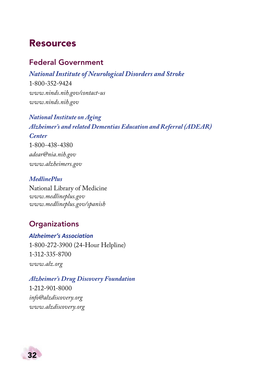### <span id="page-35-0"></span>Resources

### Federal Government

*[National Institute of Neurological Disorders and Stroke](http://www.ninds.nih.gov)* 1-800-352-9424 *[www.ninds.nih.gov/contact-us](http://www.ninds.nih.gov/contact-us) [www.ninds.nih.gov](https://www.ninds.nih.gov)*

*[National Institute on Aging](http://www.nia.nih.gov)  [Alzheimer's and related Dementias Education and Referral \(ADEAR\)](http://www.nia.nih.gov/alzheimers)  [Center](http://www.nia.nih.gov/alzheimers)* 1-800-438-4380 *[adear@nia.nih.gov](mailto:adear@nia.nih.gov) [www.alzheimers.gov](https://www.alzheimers.gov)*

#### *[MedlinePlus](http://www.medlineplus.gov)*

National Library of Medicine *[www.medlineplus.gov](https://www.medlineplus.gov) [www.medlineplus.gov/spanish](https://www.medlineplus.gov/spanish)*

### **Organizations**

#### *[Alzheimer's Association](http://www.alz.org)*

1-800-272-3900 (24-Hour Helpline) 1-312-335-8700 *[www.alz.org](https://www.alz.org)*

*[Alzheimer's Drug Discovery Foundation](http://www.alzdiscovery.org)* 1-212-901-8000 *[info@alzdiscovery.org](mailto:info@alzdiscovery.org)*

*[www.alzdiscovery.org](https://www.alzdiscovery.org)*

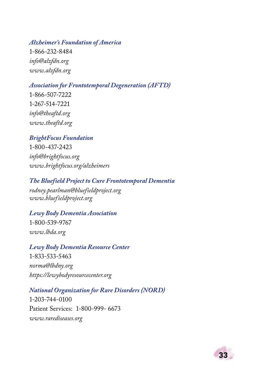#### *[Alzheimer's Foundation of America](http://www.alzfdn.org)*

1-866-232-8484 *[info@alzfdn.org](mailto:info@alzfdn.org) [www.alzfdn.org](https://www.alzfdn.org)*

#### *[Association for Frontotemporal Degeneration \(AFTD\)](http://www.theaftd.org)*

1-866-507-7222 1-267-514-7221 *[info@theaftd.org](mailto:info@theaftd.org) [www.theaftd.org](https://www.theaftd.org)*

#### *[BrightFocus Foundation](http://www.brightfocus.org/alzheimers/)*

1-800-437-2423 *[info@brightfocus.org](mailto:info@brightfocus.org) [www.brightfocus.org/alzheimers](https://www.brightfocus.org/alzheimers)*

#### *[The Bluefield Project to Cure Frontotemporal Dementia](http://www.bluefieldproject.org)*

*[rodney.pearlman@bluefieldproject.org](mailto:rodney.pearlman@bluefieldproject.org) [www.bluefieldproject.org](https://www.bluefieldproject.org)*

#### *[Lewy Body Dementia Association](http://www.lbda.org)* 1-800-539-9767 *[www.lbda.org](https://www.lbda.org)*

#### *[Lewy Body Dementia Resource Center](https://lewybodyresourcecenter.org)*  1-833-533-5463

*[norma@lbdny.org](mailto:norma@lbdny.org) <https://lewybodyresourcecenter.org>*

#### *[National Organization for Rare Disorders \(NORD\)](https://www.rarediseases.org)*

1-203-744-0100 Patient Services: 1-800-999- 6673 *[www.rarediseases.org](https://www.rarediseases.org)*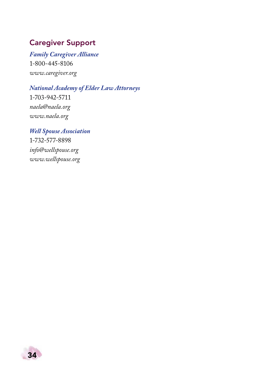### Caregiver Support

*[Family Caregiver Alliance](https://www.caregiver.org)*  1-800-445-8106 *[www.caregiver.org](https://www.caregiver.org)*

*[National Academy of Elder Law Attorneys](https://www.naela.org)*  1-703-942-5711 *[naela@naela.org](mailto:naela@naela.org) [www.naela.org](https://www.naela.org)*

*[Well Spouse Association](https://www.wellspouse.org)* 1-732-577-8898 *[info@wellspouse.org](mailto:info@wellspouse.org) [www.wellspouse.org](https://www.wellspouse.org)*